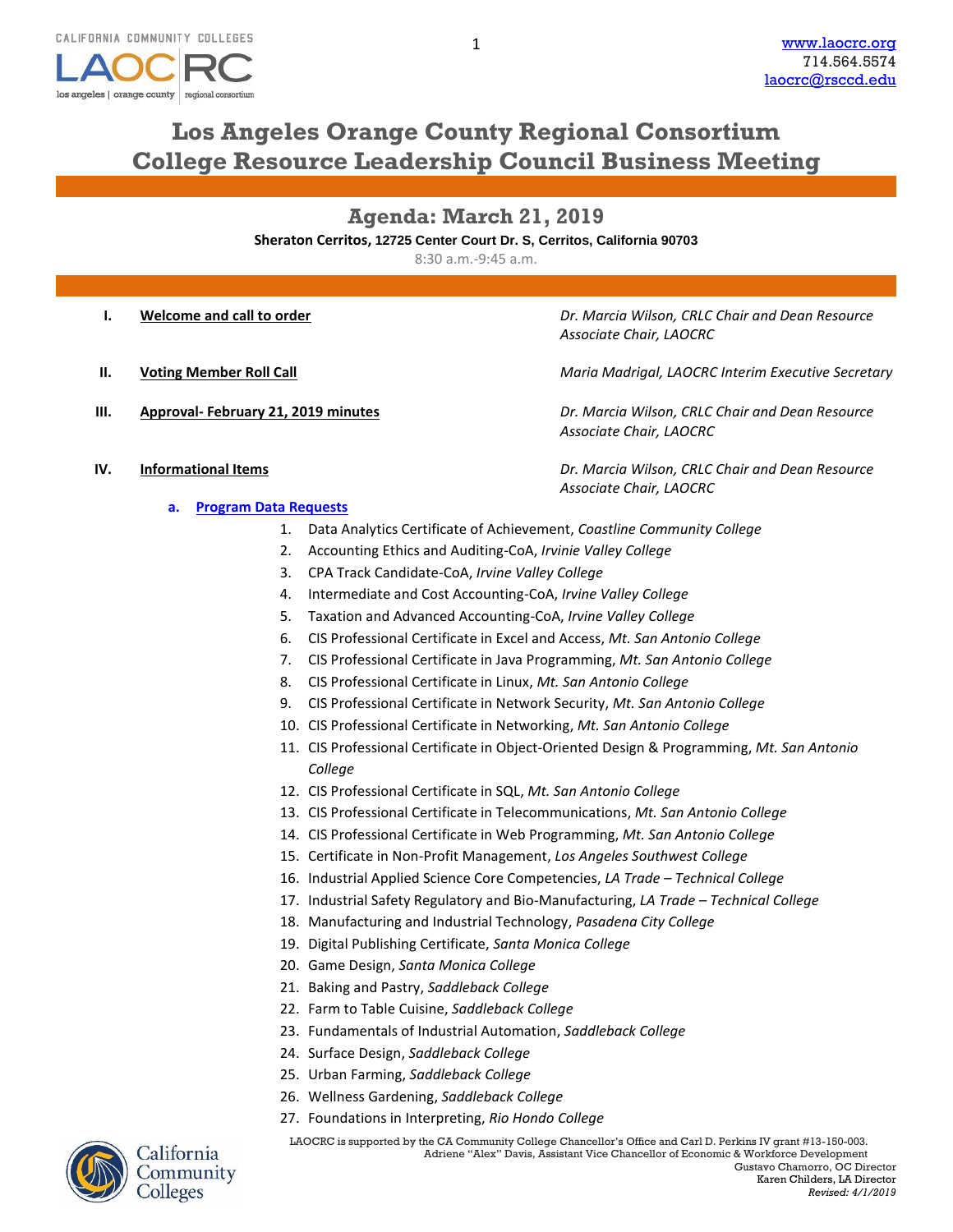

# **Los Angeles Orange County Regional Consortium College Resource Leadership Council Business Meeting**

**Agenda: March 21, 2019 Sheraton Cerritos, 12725 Center Court Dr. S, Cerritos, California 90703**

8:30 a.m.-9:45 a.m.

- 
- 
- 

**I. Welcome and call to order** *Dr. Marcia Wilson, CRLC Chair and Dean Resource Associate Chair, LAOCRC*

**II. Voting Member Roll Call** *Maria Madrigal, LAOCRC Interim Executive Secretary*

**III. Approval- February 21, 2019 minutes** *Dr. Marcia Wilson, CRLC Chair and Dean Resource Associate Chair, LAOCRC*

*Associate Chair, LAOCRC*

- **IV. Informational Items** *Dr. Marcia Wilson, CRLC Chair and Dean Resource* 
	- **a. [Program Data Requests](http://www.laocrc.org/educators/program-approval/program-intents)**
		- 1. Data Analytics Certificate of Achievement, *Coastline Community College*
		- 2. Accounting Ethics and Auditing-CoA, *Irvinie Valley College*
		- 3. CPA Track Candidate-CoA, *Irvine Valley College*
		- 4. Intermediate and Cost Accounting-CoA, *Irvine Valley College*
		- 5. Taxation and Advanced Accounting-CoA, *Irvine Valley College*
		- 6. CIS Professional Certificate in Excel and Access, *Mt. San Antonio College*
		- 7. CIS Professional Certificate in Java Programming, *Mt. San Antonio College*
		- 8. CIS Professional Certificate in Linux, *Mt. San Antonio College*
		- 9. CIS Professional Certificate in Network Security, *Mt. San Antonio College*
		- 10. CIS Professional Certificate in Networking, *Mt. San Antonio College*
		- 11. CIS Professional Certificate in Object-Oriented Design & Programming, *Mt. San Antonio College*
		- 12. CIS Professional Certificate in SQL, *Mt. San Antonio College*
		- 13. CIS Professional Certificate in Telecommunications, *Mt. San Antonio College*
		- 14. CIS Professional Certificate in Web Programming, *Mt. San Antonio College*
		- 15. Certificate in Non-Profit Management, *Los Angeles Southwest College*
		- 16. Industrial Applied Science Core Competencies, *LA Trade – Technical College*
		- 17. Industrial Safety Regulatory and Bio-Manufacturing, *LA Trade – Technical College*
		- 18. Manufacturing and Industrial Technology, *Pasadena City College*
		- 19. Digital Publishing Certificate, *Santa Monica College*
		- 20. Game Design, *Santa Monica College*
		- 21. Baking and Pastry, *Saddleback College*
		- 22. Farm to Table Cuisine, *Saddleback College*
		- 23. Fundamentals of Industrial Automation, *Saddleback College*
		- 24. Surface Design, *Saddleback College*
		- 25. Urban Farming, *Saddleback College*
		- 26. Wellness Gardening, *Saddleback College*
		- 27. Foundations in Interpreting, *Rio Hondo College*



Community Colleges

LAOCRC is supported by the CA Community College Chancellor's Office and Carl D. Perkins IV grant #13-150-003.<br>Adriene "Alex" Davis, Assistant Vice Chancellor of Economic & Workforce Development Adriene "Alex" Davis, Assistant Vice Chancellor of Economic & Workforce Development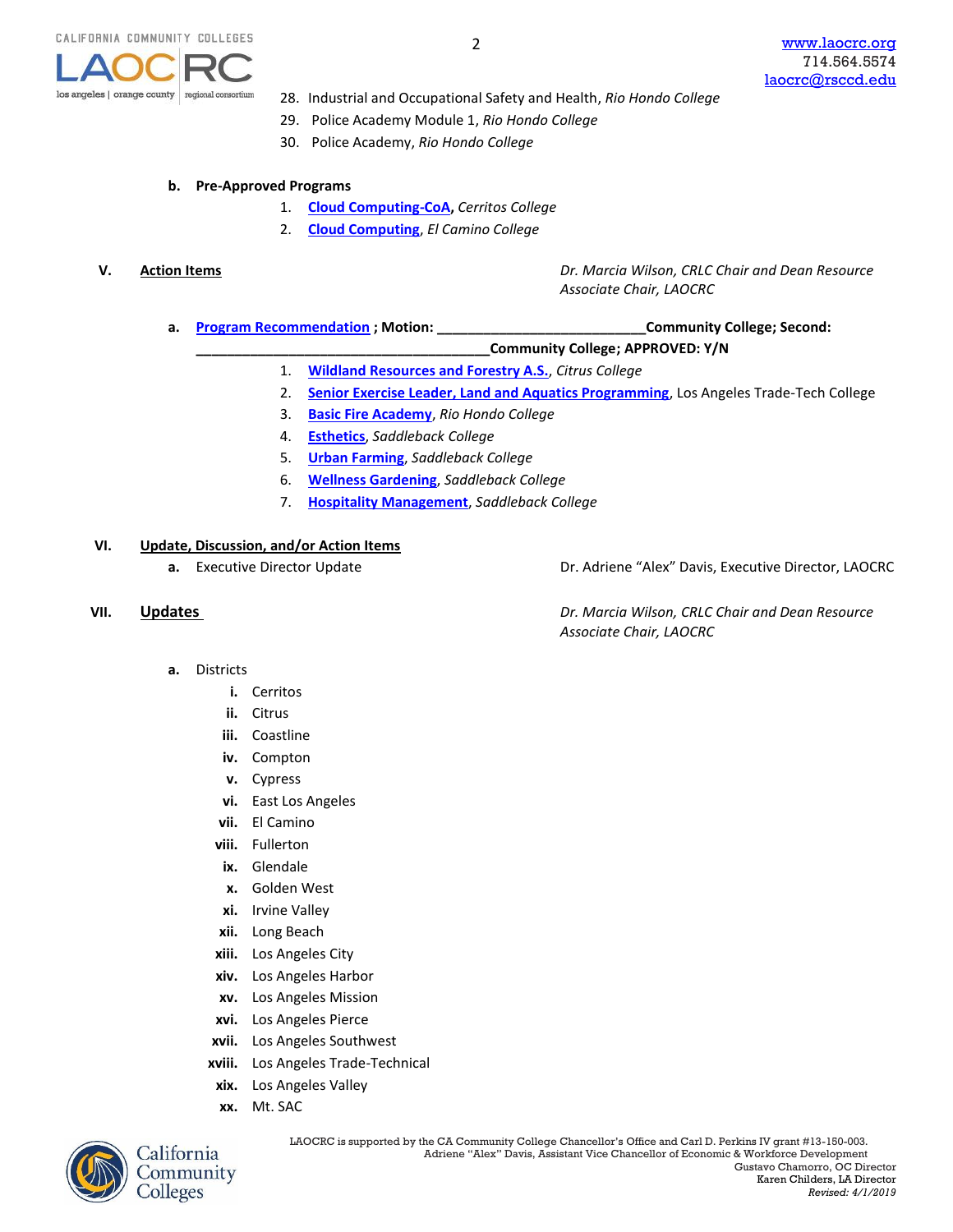

- 28. Industrial and Occupational Safety and Health, *Rio Hondo College*
- 29. Police Academy Module 1, *Rio Hondo College*
- 30. Police Academy, *Rio Hondo College*

### **b. Pre-Approved Programs**

- 1. **[Cloud Computing-CoA,](https://www.regionalcte.org/browse/KwRL3)** *Cerritos College*
- 2. **[Cloud Computing](https://www.regionalcte.org/browse/Komx4)**, *El Camino College*

**V. Action Items** *Dr. Marcia Wilson, CRLC Chair and Dean Resource Associate Chair, LAOCRC*

- **a. [Program Recommendation](https://www.regionalcte.org/browse?region=4&status=4&search=&submit=) ; Motion: \_\_\_\_\_\_\_\_\_\_\_\_\_\_\_\_\_\_\_\_\_\_\_\_\_\_\_Community College; Second:** 
	- **\_\_\_\_\_\_\_\_\_\_\_\_\_\_\_\_\_\_\_\_\_\_\_\_\_\_\_\_\_\_\_\_\_\_\_\_\_\_Community College; APPROVED: Y/N**
	- 1. **[Wildland Resources and Forestry A.S.](https://www.regionalcte.org/browse/4EwbK)**, *Citrus College*
	- 2. **[Senior Exercise Leader, Land and Aquatics Programming](https://www.regionalcte.org/browse/ZdXBZ)**, Los Angeles Trade-Tech College
	- 3. **[Basic Fire Academy](https://www.regionalcte.org/browse/KknY3)**, *Rio Hondo College*
	- 4. **[Esthetics](https://www.regionalcte.org/browse/KVlX4)**, *Saddleback College*
	- 5. **[Urban Farming](https://www.regionalcte.org/browse/KAVDZ)**, *Saddleback College*
	- 6. **[Wellness Gardening](https://www.regionalcte.org/browse/ZYpzK)**, *Saddleback College*
	- 7. **[Hospitality Management](https://www.regionalcte.org/browse/Kk5R4)**, *Saddleback College*

## **VI. Update, Discussion, and/or Action Items**

**a.** Executive Director Update **Dr. Adriene "Alex" Davis, Executive Director, LAOCRC** 

**VII. Updates** *Dr. Marcia Wilson, CRLC Chair and Dean Resource Associate Chair, LAOCRC*

- **a.** Districts
	- **i.** Cerritos
	- **ii.** Citrus
	- **iii.** Coastline
	- **iv.** Compton
	- **v.** Cypress
	- **vi.** East Los Angeles
	- **vii.** El Camino
	- **viii.** Fullerton
	- **ix.** Glendale
	- **x.** Golden West
	- **xi.** Irvine Valley
	- **xii.** Long Beach
	- **xiii.** Los Angeles City
	- **xiv.** Los Angeles Harbor
	- **xv.** Los Angeles Mission
	- **xvi.** Los Angeles Pierce
	- **xvii.** Los Angeles Southwest
	- **xviii.** Los Angeles Trade-Technical
	- **xix.** Los Angeles Valley
	- **xx.** Mt. SAC



Community Colleges

LAOCRC is supported by the CA Community College Chancellor's Office and Carl D. Perkins IV grant #13-150-003.<br>Adriene "Alex" Davis, Assistant Vice Chancellor of Economic & Workforce Development Adriene "Alex" Davis, Assistant Vice Chancellor of Economic & Workforce Development Gustavo Chamorro, OC Director